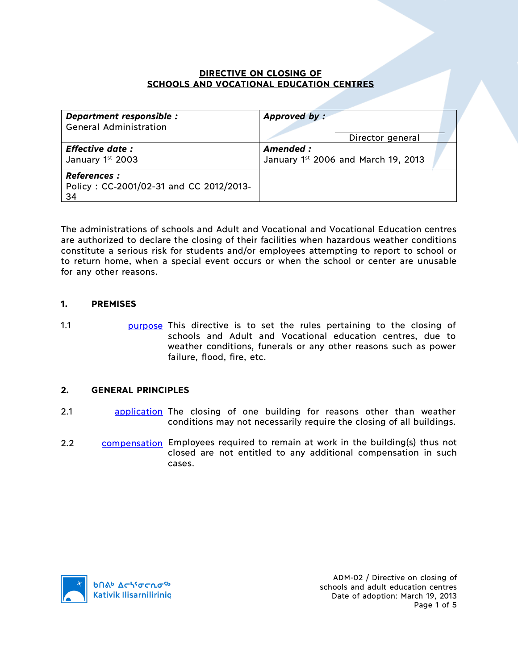### **DIRECTIVE ON CLOSING OF SCHOOLS AND VOCATIONAL EDUCATION CENTRES**

| Department responsible :<br><b>General Administration</b>           | Approved by:<br>Director general                |  |
|---------------------------------------------------------------------|-------------------------------------------------|--|
| <b>Effective date:</b><br>January 1st 2003                          | Amended:<br>January 1st 2006 and March 19, 2013 |  |
| <b>References:</b><br>Policy: CC-2001/02-31 and CC 2012/2013-<br>34 |                                                 |  |

The administrations of schools and Adult and Vocational and Vocational Education centres are authorized to declare the closing of their facilities when hazardous weather conditions constitute a serious risk for students and/or employees attempting to report to school or to return home, when a special event occurs or when the school or center are unusable for any other reasons.

### **1. PREMISES**

- 
- 1.1 **purpose** This directive is to set the rules pertaining to the closing of schools and Adult and Vocational education centres, due to weather conditions, funerals or any other reasons such as power failure, flood, fire, etc.

# **2. GENERAL PRINCIPLES**

- 2.1 **application** The closing of one building for reasons other than weather conditions may not necessarily require the closing of all buildings.
- 2.2 compensation Employees required to remain at work in the building(s) thus not closed are not entitled to any additional compensation in such cases.

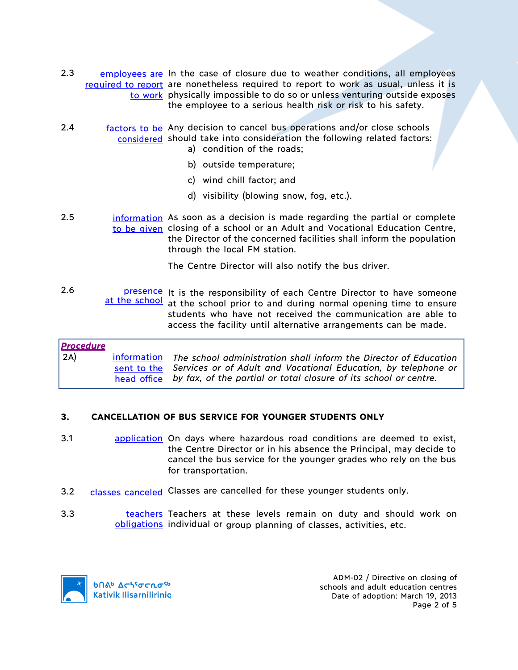- 2.3 employees are In the case of closure due to weather conditions, all employees required to report are nonetheless required to report to work as usual, unless it is to work physically impossible to do so or unless venturing outside exposes the employee to a serious health risk or risk to his safety.
- 2.4 **factors to be** Any decision to cancel bus operations and/or close schools considered should take into consideration the following related factors: a) condition of the roads;
	- b) outside temperature;
	- c) wind chill factor; and
	- d) visibility (blowing snow, fog, etc.).
- 2.5 **information** As soon as a decision is made regarding the partial or complete to be given closing of a school or an Adult and Vocational Education Centre, the Director of the concerned facilities shall inform the population through the local FM station.
	- The Centre Director will also notify the bus driver.
- 2.6 **presence** It is the responsibility of each Centre Director to have someone<br>at the school at the school prior to and during normal opening time to ensure at the school at the school prior to and during normal opening time to ensure students who have not received the communication are able to access the facility until alternative arrangements can be made.

# *Procedure* 2A) information *The school administration shall inform the Director of Education* sent to the Services or of Adult and Vocational Education, by telephone or head office *by fax, of the partial or total closure of its school or centre.*

# **3. CANCELLATION OF BUS SERVICE FOR YOUNGER STUDENTS ONLY**

- 3.1 **application** On days where hazardous road conditions are deemed to exist, the Centre Director or in his absence the Principal, may decide to cancel the bus service for the younger grades who rely on the bus for transportation.
- 3.2 classes canceled Classes are cancelled for these younger students only.
- 3.3 **teachers Teachers at these levels remain on duty and should work on** obligations individual or group planning of classes, activities, etc.



ADM-02 / Directive on closing of schools and adult education centres Date of adoption: March 19, 2013 Page 2 of 5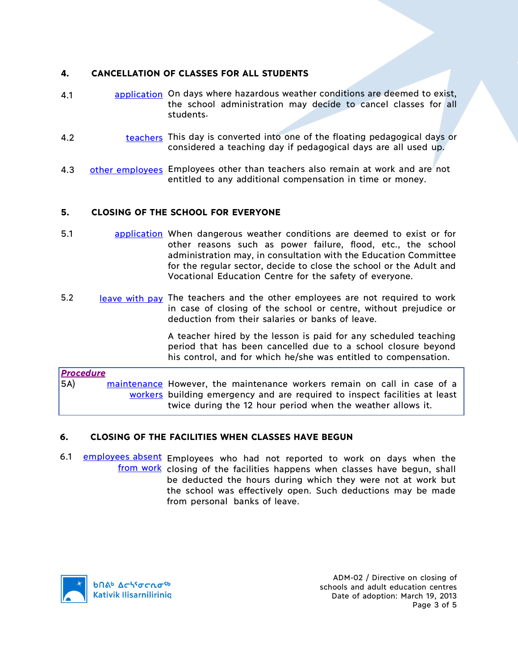# **4. CANCELLATION OF CLASSES FOR ALL STUDENTS**

- 4.1 application On days where hazardous weather conditions are deemed to exist, the school administration may decide to cancel classes for all students.
- 4.2 teachers This day is converted into one of the floating pedagogical days or considered a teaching day if pedagogical days are all used up.
- 4.3 other employees Employees other than teachers also remain at work and are not entitled to any additional compensation in time or money.

# **5. CLOSING OF THE SCHOOL FOR EVERYONE**

- 5.1 application When dangerous weather conditions are deemed to exist or for other reasons such as power failure, flood, etc., the school administration may, in consultation with the Education Committee for the regular sector, decide to close the school or the Adult and Vocational Education Centre for the safety of everyone.
- 5.2 leave with pay The teachers and the other employees are not required to work in case of closing of the school or centre, without prejudice or deduction from their salaries or banks of leave.

A teacher hired by the lesson is paid for any scheduled teaching period that has been cancelled due to a school closure beyond his control, and for which he/she was entitled to compensation.

*Procedure* 5A) maintenance However, the maintenance workers remain on call in case of a workers building emergency and are required to inspect facilities at least twice during the 12 hour period when the weather allows it.

#### **6. CLOSING OF THE FACILITIES WHEN CLASSES HAVE BEGUN**

6.1 employees absent Employees who had not reported to work on days when the from work closing of the facilities happens when classes have begun, shall be deducted the hours during which they were not at work but the school was effectively open. Such deductions may be made from personal banks of leave.

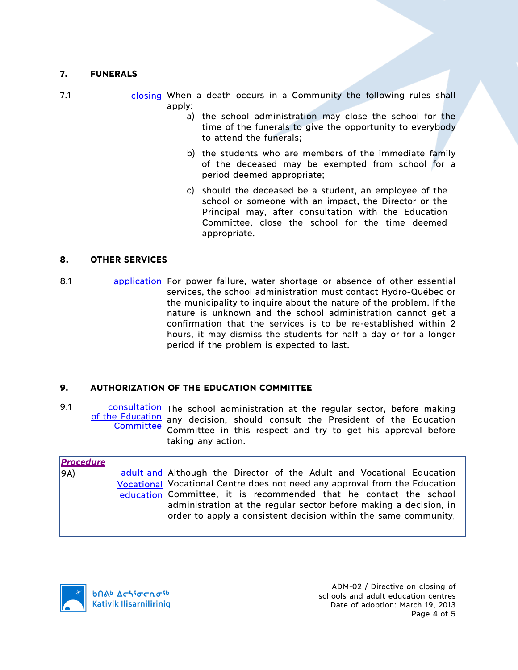# **7. FUNERALS**

| 7.1 |        |  |  | closing When a death occurs in a Community the following rules shall |  |  |  |
|-----|--------|--|--|----------------------------------------------------------------------|--|--|--|
|     | apply: |  |  |                                                                      |  |  |  |

- a) the school administration may close the school for the time of the funerals to give the opportunity to everybody to attend the funerals;
- b) the students who are members of the immediate family of the deceased may be exempted from school for a period deemed appropriate;
- c) should the deceased be a student, an employee of the school or someone with an impact, the Director or the Principal may, after consultation with the Education Committee, close the school for the time deemed appropriate.

#### **8. OTHER SERVICES**

8.1 application For power failure, water shortage or absence of other essential services, the school administration must contact Hydro-Québec or the municipality to inquire about the nature of the problem. If the nature is unknown and the school administration cannot get a confirmation that the services is to be re-established within 2 hours, it may dismiss the students for half a day or for a longer period if the problem is expected to last.

#### **9. AUTHORIZATION OF THE EDUCATION COMMITTEE**

9.1 consultation The school administration at the regular sector, before making of the Education any decision, should consult the President of the Education **Committee** Committee in this respect and try to get his approval before taking any action.

| <b>Procedure</b><br>9A) | adult and Although the Director of the Adult and Vocational Education<br>Vocational Vocational Centre does not need any approval from the Education                                                       |
|-------------------------|-----------------------------------------------------------------------------------------------------------------------------------------------------------------------------------------------------------|
|                         | education Committee, it is recommended that he contact the school<br>administration at the regular sector before making a decision, in<br>order to apply a consistent decision within the same community. |

**b**Πል<sup>b</sup> Δςιτσελσ<sup>ς</sup> Kativik Ilisarniliriniq

ADM-02 / Directive on closing of schools and adult education centres Date of adoption: March 19, 2013 Page 4 of 5